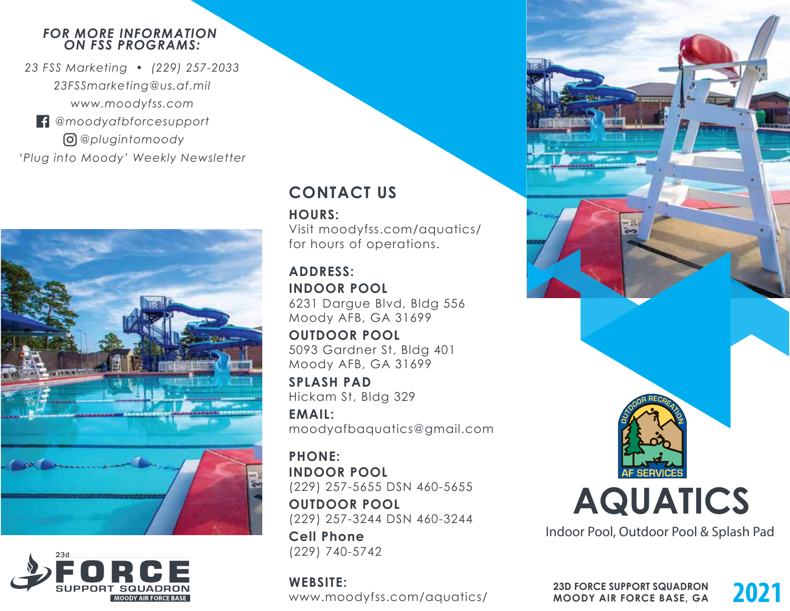#### *FOR MORE INFORMATION ON FSS PROGRAMS:*

*23 FSS Marketing • (229) 257-2033 23FSSmarketing@us.af.mil www.moodyfss.com @moodyafbforcesupport @plugintomoody*

*'Plug into Moody' Weekly Newsletter*





# **CONTACT US**

**HOURS:**

Visit moodyfss.com/aquatics/ for hours of operations.

#### **ADDRESS: INDOOR POOL**

6231 Dargue Blvd, Bldg 556 Moody AFB, GA 31699

**OUTDOOR POOL** 5093 Gardner St, Bldg 401 Moody AFB, GA 31699

**SPLASH PAD** Hickam St, Bldg 329

**EMAIL:** moodyafbaquatics@gmail.com

**PHONE: INDOOR POOL**  (229) 257-5655 DSN 460-5655

**OUTDOOR POOL** (229) 257-3244 DSN 460-3244

**Cell Phone** (229) 740-5742

**WEBSITE:** www.moodyfss.com/aquatics/



Indoor Pool, Outdoor Pool & Splash Pad

**23D FORCE SUPPORT SQUADRON**<br>**MOODY AIR FORCE BASE, GA MOODY AIR FORCE BASE, GA**